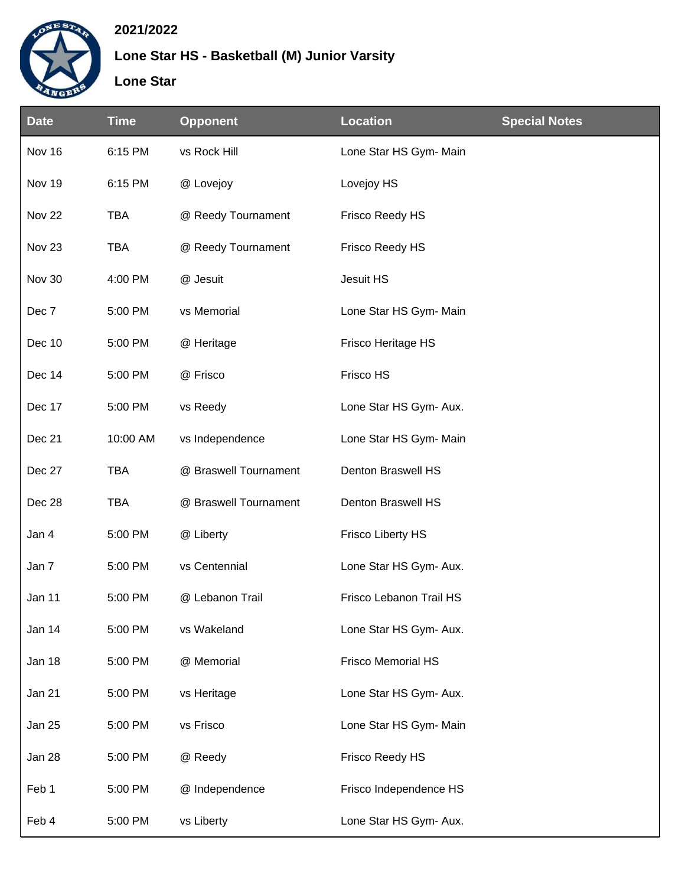

## **2021/2022**

## **Lone Star HS - Basketball (M) Junior Varsity**

## **Lone Star**

| <b>Date</b>       | <b>Time</b> | <b>Opponent</b>       | <b>Location</b>           | <b>Special Notes</b> |
|-------------------|-------------|-----------------------|---------------------------|----------------------|
| Nov 16            | 6:15 PM     | vs Rock Hill          | Lone Star HS Gym- Main    |                      |
| Nov 19            | 6:15 PM     | @ Lovejoy             | Lovejoy HS                |                      |
| Nov 22            | <b>TBA</b>  | @ Reedy Tournament    | Frisco Reedy HS           |                      |
| Nov <sub>23</sub> | <b>TBA</b>  | @ Reedy Tournament    | Frisco Reedy HS           |                      |
| Nov 30            | 4:00 PM     | @ Jesuit              | Jesuit HS                 |                      |
| Dec 7             | 5:00 PM     | vs Memorial           | Lone Star HS Gym- Main    |                      |
| Dec 10            | 5:00 PM     | @ Heritage            | Frisco Heritage HS        |                      |
| Dec 14            | 5:00 PM     | @ Frisco              | Frisco HS                 |                      |
| Dec 17            | 5:00 PM     | vs Reedy              | Lone Star HS Gym- Aux.    |                      |
| Dec 21            | 10:00 AM    | vs Independence       | Lone Star HS Gym- Main    |                      |
| Dec 27            | <b>TBA</b>  | @ Braswell Tournament | Denton Braswell HS        |                      |
| Dec 28            | <b>TBA</b>  | @ Braswell Tournament | Denton Braswell HS        |                      |
| Jan 4             | 5:00 PM     | @ Liberty             | <b>Frisco Liberty HS</b>  |                      |
| Jan 7             | 5:00 PM     | vs Centennial         | Lone Star HS Gym- Aux.    |                      |
| Jan 11            | 5:00 PM     | @ Lebanon Trail       | Frisco Lebanon Trail HS   |                      |
| Jan 14            | 5:00 PM     | vs Wakeland           | Lone Star HS Gym- Aux.    |                      |
| Jan 18            | 5:00 PM     | @ Memorial            | <b>Frisco Memorial HS</b> |                      |
| Jan 21            | 5:00 PM     | vs Heritage           | Lone Star HS Gym- Aux.    |                      |
| Jan 25            | 5:00 PM     | vs Frisco             | Lone Star HS Gym- Main    |                      |
| Jan 28            | 5:00 PM     | @ Reedy               | Frisco Reedy HS           |                      |
| Feb 1             | 5:00 PM     | @ Independence        | Frisco Independence HS    |                      |
| Feb 4             | 5:00 PM     | vs Liberty            | Lone Star HS Gym- Aux.    |                      |